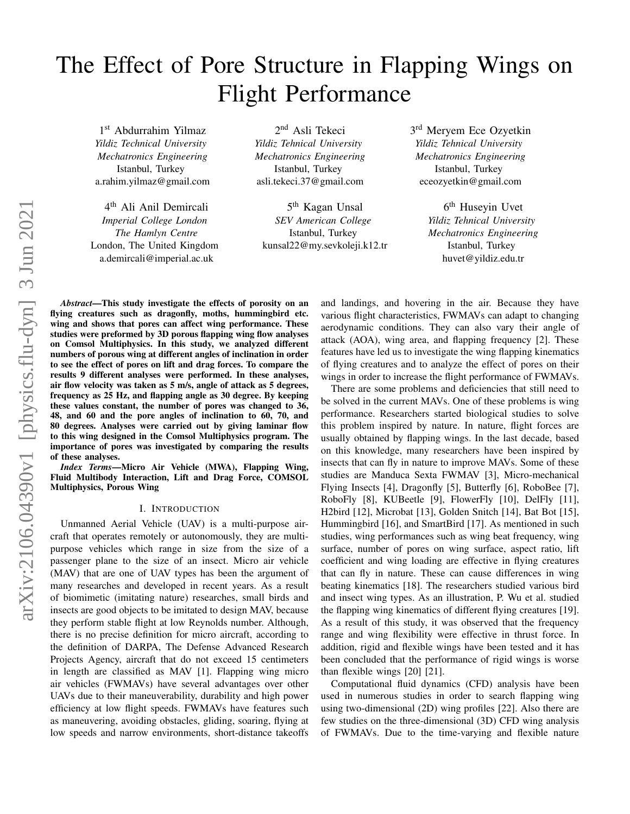# The Effect of Pore Structure in Flapping Wings on Flight Performance

1 st Abdurrahim Yilmaz *Yildiz Technical University Mechatronics Engineering* Istanbul, Turkey a.rahim.yilmaz@gmail.com

4 th Ali Anil Demircali *Imperial College London The Hamlyn Centre* London, The United Kingdom a.demircali@imperial.ac.uk

2<sup>nd</sup> Asli Tekeci *Yildiz Tehnical University Mechatronics Engineering* Istanbul, Turkey asli.tekeci.37@gmail.com

5<sup>th</sup> Kagan Unsal *SEV American College* Istanbul, Turkey kunsal22@my.sevkoleji.k12.tr 3<sup>rd</sup> Meryem Ece Ozyetkin *Yildiz Tehnical University Mechatronics Engineering* Istanbul, Turkey eceozyetkin@gmail.com

> 6<sup>th</sup> Huseyin Uvet *Yildiz Tehnical University Mechatronics Engineering* Istanbul, Turkey huvet@yildiz.edu.tr

*Abstract*—This study investigate the effects of porosity on an flying creatures such as dragonfly, moths, hummingbird etc. wing and shows that pores can affect wing performance. These studies were preformed by 3D porous flapping wing flow analyses on Comsol Multiphysics. In this study, we analyzed different numbers of porous wing at different angles of inclination in order to see the effect of pores on lift and drag forces. To compare the results 9 different analyses were performed. In these analyses, air flow velocity was taken as 5 m/s, angle of attack as 5 degrees, frequency as 25 Hz, and flapping angle as 30 degree. By keeping these values constant, the number of pores was changed to 36, 48, and 60 and the pore angles of inclination to 60, 70, and 80 degrees. Analyses were carried out by giving laminar flow to this wing designed in the Comsol Multiphysics program. The importance of pores was investigated by comparing the results of these analyses.

*Index Terms*—Micro Air Vehicle (MWA), Flapping Wing, Fluid Multibody Interaction, Lift and Drag Force, COMSOL Multiphysics, Porous Wing

## I. INTRODUCTION

Unmanned Aerial Vehicle (UAV) is a multi-purpose aircraft that operates remotely or autonomously, they are multipurpose vehicles which range in size from the size of a passenger plane to the size of an insect. Micro air vehicle (MAV) that are one of UAV types has been the argument of many researches and developed in recent years. As a result of biomimetic (imitating nature) researches, small birds and insects are good objects to be imitated to design MAV, because they perform stable flight at low Reynolds number. Although, there is no precise definition for micro aircraft, according to the definition of DARPA, The Defense Advanced Research Projects Agency, aircraft that do not exceed 15 centimeters in length are classified as MAV [\[1\]](#page-3-0). Flapping wing micro air vehicles (FWMAVs) have several advantages over other UAVs due to their maneuverability, durability and high power efficiency at low flight speeds. FWMAVs have features such as maneuvering, avoiding obstacles, gliding, soaring, flying at low speeds and narrow environments, short-distance takeoffs and landings, and hovering in the air. Because they have various flight characteristics, FWMAVs can adapt to changing aerodynamic conditions. They can also vary their angle of attack (AOA), wing area, and flapping frequency [\[2\]](#page-3-1). These features have led us to investigate the wing flapping kinematics of flying creatures and to analyze the effect of pores on their wings in order to increase the flight performance of FWMAVs.

There are some problems and deficiencies that still need to be solved in the current MAVs. One of these problems is wing performance. Researchers started biological studies to solve this problem inspired by nature. In nature, flight forces are usually obtained by flapping wings. In the last decade, based on this knowledge, many researchers have been inspired by insects that can fly in nature to improve MAVs. Some of these studies are Manduca Sexta FWMAV [\[3\]](#page-3-2), Micro-mechanical Flying Insects [\[4\]](#page-3-3), Dragonfly [\[5\]](#page-3-4), Butterfly [\[6\]](#page-3-5), RoboBee [\[7\]](#page-3-6), RoboFly [\[8\]](#page-3-7), KUBeetle [\[9\]](#page-3-8), FlowerFly [\[10\]](#page-3-9), DelFly [\[11\]](#page-3-10), H2bird [\[12\]](#page-3-11), Microbat [\[13\]](#page-3-12), Golden Snitch [\[14\]](#page-4-0), Bat Bot [\[15\]](#page-4-1), Hummingbird [\[16\]](#page-4-2), and SmartBird [\[17\]](#page-4-3). As mentioned in such studies, wing performances such as wing beat frequency, wing surface, number of pores on wing surface, aspect ratio, lift coefficient and wing loading are effective in flying creatures that can fly in nature. These can cause differences in wing beating kinematics [\[18\]](#page-4-4). The researchers studied various bird and insect wing types. As an illustration, P. Wu et al. studied the flapping wing kinematics of different flying creatures [\[19\]](#page-4-5). As a result of this study, it was observed that the frequency range and wing flexibility were effective in thrust force. In addition, rigid and flexible wings have been tested and it has been concluded that the performance of rigid wings is worse than flexible wings [\[20\]](#page-4-6) [\[21\]](#page-4-7).

Computational fluid dynamics (CFD) analysis have been used in numerous studies in order to search flapping wing using two-dimensional (2D) wing profiles [\[22\]](#page-4-8). Also there are few studies on the three-dimensional (3D) CFD wing analysis of FWMAVs. Due to the time-varying and flexible nature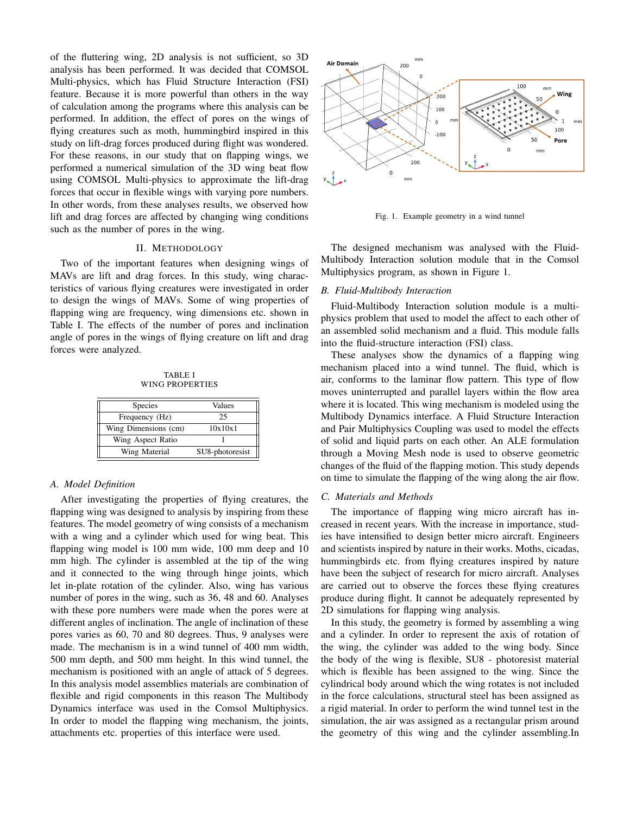of the fluttering wing, 2D analysis is not sufficient, so 3D analysis has been performed. It was decided that COMSOL Multi-physics, which has Fluid Structure Interaction (FSI) feature. Because it is more powerful than others in the way of calculation among the programs where this analysis can be performed. In addition, the effect of pores on the wings of flying creatures such as moth, hummingbird inspired in this study on lift-drag forces produced during flight was wondered. For these reasons, in our study that on flapping wings, we performed a numerical simulation of the 3D wing beat flow using COMSOL Multi-physics to approximate the lift-drag forces that occur in flexible wings with varying pore numbers. In other words, from these analyses results, we observed how lift and drag forces are affected by changing wing conditions such as the number of pores in the wing.

# II. METHODOLOGY

Two of the important features when designing wings of MAVs are lift and drag forces. In this study, wing characteristics of various flying creatures were investigated in order to design the wings of MAVs. Some of wing properties of flapping wing are frequency, wing dimensions etc. shown in Table [I.](#page-1-0) The effects of the number of pores and inclination angle of pores in the wings of flying creature on lift and drag forces were analyzed.

TABLE I WING PROPERTIES

<span id="page-1-0"></span>

| <b>Species</b>       | Values          |  |
|----------------------|-----------------|--|
| Frequency (Hz)       | 25              |  |
| Wing Dimensions (cm) | 10x10x1         |  |
| Wing Aspect Ratio    |                 |  |
| Wing Material        | SU8-photoresist |  |

#### *A. Model Definition*

After investigating the properties of flying creatures, the flapping wing was designed to analysis by inspiring from these features. The model geometry of wing consists of a mechanism with a wing and a cylinder which used for wing beat. This flapping wing model is 100 mm wide, 100 mm deep and 10 mm high. The cylinder is assembled at the tip of the wing and it connected to the wing through hinge joints, which let in-plate rotation of the cylinder. Also, wing has various number of pores in the wing, such as 36, 48 and 60. Analyses with these pore numbers were made when the pores were at different angles of inclination. The angle of inclination of these pores varies as 60, 70 and 80 degrees. Thus, 9 analyses were made. The mechanism is in a wind tunnel of 400 mm width, 500 mm depth, and 500 mm height. In this wind tunnel, the mechanism is positioned with an angle of attack of 5 degrees. In this analysis model assemblies materials are combination of flexible and rigid components in this reason The Multibody Dynamics interface was used in the Comsol Multiphysics. In order to model the flapping wing mechanism, the joints, attachments etc. properties of this interface were used.



<span id="page-1-1"></span>Fig. 1. Example geometry in a wind tunnel

The designed mechanism was analysed with the Fluid-Multibody Interaction solution module that in the Comsol Multiphysics program, as shown in Figure [1.](#page-1-1)

## *B. Fluid-Multibody Interaction*

Fluid-Multibody Interaction solution module is a multiphysics problem that used to model the affect to each other of an assembled solid mechanism and a fluid. This module falls into the fluid-structure interaction (FSI) class.

These analyses show the dynamics of a flapping wing mechanism placed into a wind tunnel. The fluid, which is air, conforms to the laminar flow pattern. This type of flow moves uninterrupted and parallel layers within the flow area where it is located. This wing mechanism is modeled using the Multibody Dynamics interface. A Fluid Structure Interaction and Pair Multiphysics Coupling was used to model the effects of solid and liquid parts on each other. An ALE formulation through a Moving Mesh node is used to observe geometric changes of the fluid of the flapping motion. This study depends on time to simulate the flapping of the wing along the air flow.

## *C. Materials and Methods*

The importance of flapping wing micro aircraft has increased in recent years. With the increase in importance, studies have intensified to design better micro aircraft. Engineers and scientists inspired by nature in their works. Moths, cicadas, hummingbirds etc. from flying creatures inspired by nature have been the subject of research for micro aircraft. Analyses are carried out to observe the forces these flying creatures produce during flight. It cannot be adequately represented by 2D simulations for flapping wing analysis.

In this study, the geometry is formed by assembling a wing and a cylinder. In order to represent the axis of rotation of the wing, the cylinder was added to the wing body. Since the body of the wing is flexible, SU8 - photoresist material which is flexible has been assigned to the wing. Since the cylindrical body around which the wing rotates is not included in the force calculations, structural steel has been assigned as a rigid material. In order to perform the wind tunnel test in the simulation, the air was assigned as a rectangular prism around the geometry of this wing and the cylinder assembling.In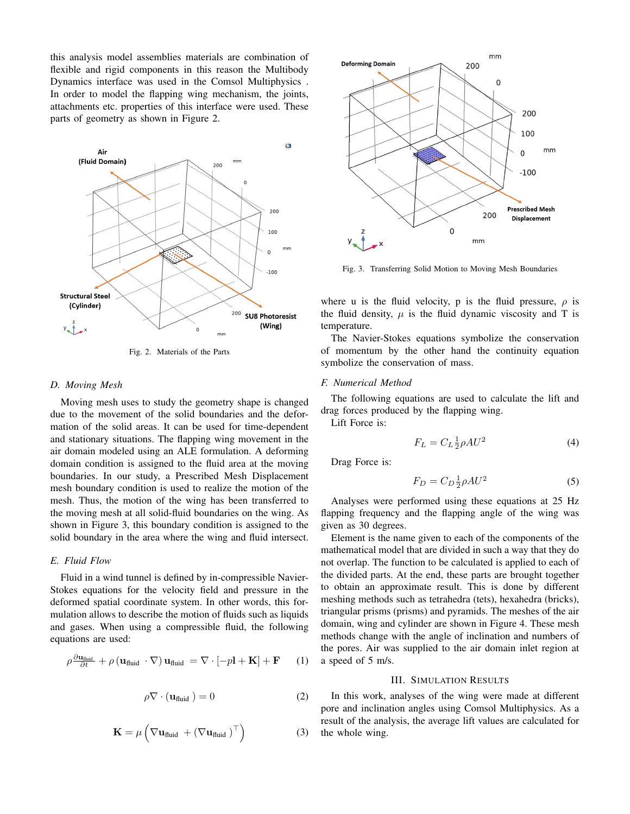this analysis model assemblies materials are combination of flexible and rigid components in this reason the Multibody Dynamics interface was used in the Comsol Multiphysics . In order to model the flapping wing mechanism, the joints, attachments etc. properties of this interface were used. These parts of geometry as shown in Figure [2.](#page-2-0)



Fig. 2. Materials of the Parts

## *D. Moving Mesh*

Moving mesh uses to study the geometry shape is changed due to the movement of the solid boundaries and the deformation of the solid areas. It can be used for time-dependent and stationary situations. The flapping wing movement in the air domain modeled using an ALE formulation. A deforming domain condition is assigned to the fluid area at the moving boundaries. In our study, a Prescribed Mesh Displacement mesh boundary condition is used to realize the motion of the mesh. Thus, the motion of the wing has been transferred to the moving mesh at all solid-fluid boundaries on the wing. As shown in Figure [3,](#page-2-1) this boundary condition is assigned to the solid boundary in the area where the wing and fluid intersect.

## *E. Fluid Flow*

Fluid in a wind tunnel is defined by in-compressible Navier-Stokes equations for the velocity field and pressure in the deformed spatial coordinate system. In other words, this formulation allows to describe the motion of fluids such as liquids and gases. When using a compressible fluid, the following equations are used:

$$
\rho \frac{\partial \mathbf{u}_{\text{fluid}}}{\partial t} + \rho \left( \mathbf{u}_{\text{fluid}} \cdot \nabla \right) \mathbf{u}_{\text{fluid}} = \nabla \cdot \left[ -p\mathbf{l} + \mathbf{K} \right] + \mathbf{F} \qquad (1)
$$

$$
\rho \nabla \cdot (\mathbf{u}_{\text{fluid}}) = 0 \tag{2}
$$

$$
\mathbf{K} = \mu \left( \nabla \mathbf{u}_{\text{fluid}} + (\nabla \mathbf{u}_{\text{fluid}})^\top \right) \tag{3}
$$



<span id="page-2-1"></span>Fig. 3. Transferring Solid Motion to Moving Mesh Boundaries

where u is the fluid velocity, p is the fluid pressure,  $\rho$  is the fluid density,  $\mu$  is the fluid dynamic viscosity and T is temperature.

<span id="page-2-0"></span>The Navier-Stokes equations symbolize the conservation of momentum by the other hand the continuity equation symbolize the conservation of mass.

#### *F. Numerical Method*

The following equations are used to calculate the lift and drag forces produced by the flapping wing.

Lift Force is:

$$
F_L = C_L \frac{1}{2} \rho A U^2 \tag{4}
$$

Drag Force is:

$$
F_D = C_D \frac{1}{2} \rho A U^2 \tag{5}
$$

Analyses were performed using these equations at 25 Hz flapping frequency and the flapping angle of the wing was given as 30 degrees.

Element is the name given to each of the components of the mathematical model that are divided in such a way that they do not overlap. The function to be calculated is applied to each of the divided parts. At the end, these parts are brought together to obtain an approximate result. This is done by different meshing methods such as tetrahedra (tets), hexahedra (bricks), triangular prisms (prisms) and pyramids. The meshes of the air domain, wing and cylinder are shown in Figure [4.](#page-3-13) These mesh methods change with the angle of inclination and numbers of the pores. Air was supplied to the air domain inlet region at a speed of 5 m/s.

#### III. SIMULATION RESULTS

In this work, analyses of the wing were made at different pore and inclination angles using Comsol Multiphysics. As a result of the analysis, the average lift values are calculated for the whole wing.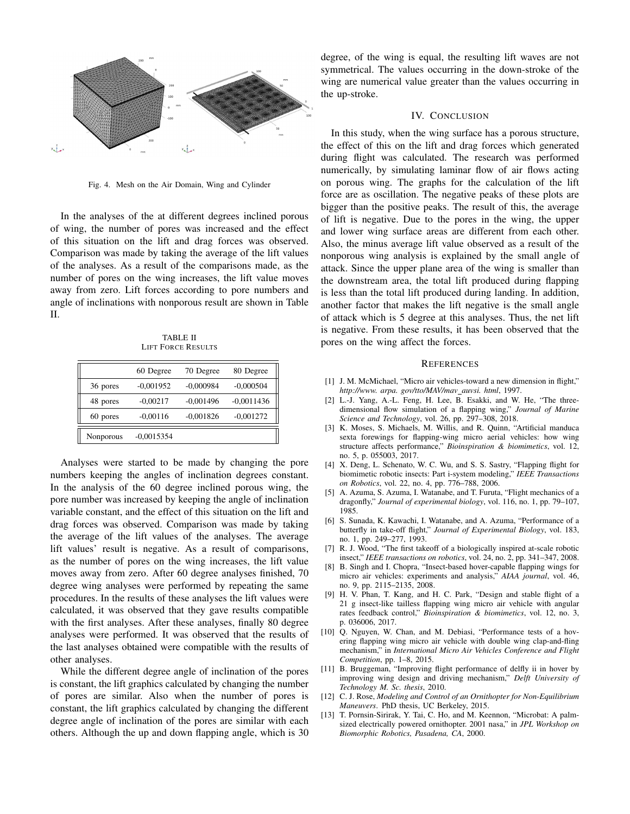

<span id="page-3-13"></span>Fig. 4. Mesh on the Air Domain, Wing and Cylinder

In the analyses of the at different degrees inclined porous of wing, the number of pores was increased and the effect of this situation on the lift and drag forces was observed. Comparison was made by taking the average of the lift values of the analyses. As a result of the comparisons made, as the number of pores on the wing increases, the lift value moves away from zero. Lift forces according to pore numbers and angle of inclinations with nonporous result are shown in Table [II.](#page-3-14)

TABLE II LIFT FORCE RESULTS

<span id="page-3-14"></span>

|           | 60 Degree    | 70 Degree   | 80 Degree    |
|-----------|--------------|-------------|--------------|
| 36 pores  | $-0,001952$  | $-0,000984$ | $-0,000504$  |
| 48 pores  | $-0,00217$   | $-0,001496$ | $-0,0011436$ |
| 60 pores  | $-0,00116$   | $-0,001826$ | $-0,001272$  |
| Nonporous | $-0.0015354$ |             |              |

Analyses were started to be made by changing the pore numbers keeping the angles of inclination degrees constant. In the analysis of the 60 degree inclined porous wing, the pore number was increased by keeping the angle of inclination variable constant, and the effect of this situation on the lift and drag forces was observed. Comparison was made by taking the average of the lift values of the analyses. The average lift values' result is negative. As a result of comparisons, as the number of pores on the wing increases, the lift value moves away from zero. After 60 degree analyses finished, 70 degree wing analyses were performed by repeating the same procedures. In the results of these analyses the lift values were calculated, it was observed that they gave results compatible with the first analyses. After these analyses, finally 80 degree analyses were performed. It was observed that the results of the last analyses obtained were compatible with the results of other analyses.

While the different degree angle of inclination of the pores is constant, the lift graphics calculated by changing the number of pores are similar. Also when the number of pores is constant, the lift graphics calculated by changing the different degree angle of inclination of the pores are similar with each others. Although the up and down flapping angle, which is 30 degree, of the wing is equal, the resulting lift waves are not symmetrical. The values occurring in the down-stroke of the wing are numerical value greater than the values occurring in the up-stroke.

#### IV. CONCLUSION

In this study, when the wing surface has a porous structure, the effect of this on the lift and drag forces which generated during flight was calculated. The research was performed numerically, by simulating laminar flow of air flows acting on porous wing. The graphs for the calculation of the lift force are as oscillation. The negative peaks of these plots are bigger than the positive peaks. The result of this, the average of lift is negative. Due to the pores in the wing, the upper and lower wing surface areas are different from each other. Also, the minus average lift value observed as a result of the nonporous wing analysis is explained by the small angle of attack. Since the upper plane area of the wing is smaller than the downstream area, the total lift produced during flapping is less than the total lift produced during landing. In addition, another factor that makes the lift negative is the small angle of attack which is 5 degree at this analyses. Thus, the net lift is negative. From these results, it has been observed that the pores on the wing affect the forces.

#### **REFERENCES**

- <span id="page-3-0"></span>[1] J. M. McMichael, "Micro air vehicles-toward a new dimension in flight," *http://www. arpa. gov/tto/MAV/mav auvsi. html*, 1997.
- <span id="page-3-1"></span>[2] L.-J. Yang, A.-L. Feng, H. Lee, B. Esakki, and W. He, "The threedimensional flow simulation of a flapping wing," *Journal of Marine Science and Technology*, vol. 26, pp. 297–308, 2018.
- <span id="page-3-2"></span>[3] K. Moses, S. Michaels, M. Willis, and R. Quinn, "Artificial manduca sexta forewings for flapping-wing micro aerial vehicles: how wing structure affects performance," *Bioinspiration & biomimetics*, vol. 12, no. 5, p. 055003, 2017.
- <span id="page-3-3"></span>[4] X. Deng, L. Schenato, W. C. Wu, and S. S. Sastry, "Flapping flight for biomimetic robotic insects: Part i-system modeling," *IEEE Transactions on Robotics*, vol. 22, no. 4, pp. 776–788, 2006.
- <span id="page-3-4"></span>[5] A. Azuma, S. Azuma, I. Watanabe, and T. Furuta, "Flight mechanics of a dragonfly," *Journal of experimental biology*, vol. 116, no. 1, pp. 79–107, 1985.
- <span id="page-3-5"></span>[6] S. Sunada, K. Kawachi, I. Watanabe, and A. Azuma, "Performance of a butterfly in take-off flight," *Journal of Experimental Biology*, vol. 183, no. 1, pp. 249–277, 1993.
- <span id="page-3-6"></span>[7] R. J. Wood, "The first takeoff of a biologically inspired at-scale robotic insect," *IEEE transactions on robotics*, vol. 24, no. 2, pp. 341–347, 2008.
- <span id="page-3-7"></span>[8] B. Singh and I. Chopra, "Insect-based hover-capable flapping wings for micro air vehicles: experiments and analysis," *AIAA journal*, vol. 46, no. 9, pp. 2115–2135, 2008.
- <span id="page-3-8"></span>[9] H. V. Phan, T. Kang, and H. C. Park, "Design and stable flight of a 21 g insect-like tailless flapping wing micro air vehicle with angular rates feedback control," *Bioinspiration & biomimetics*, vol. 12, no. 3, p. 036006, 2017.
- <span id="page-3-9"></span>[10] Q. Nguyen, W. Chan, and M. Debiasi, "Performance tests of a hovering flapping wing micro air vehicle with double wing clap-and-fling mechanism," in *International Micro Air Vehicles Conference and Flight Competition*, pp. 1–8, 2015.
- <span id="page-3-10"></span>[11] B. Bruggeman, "Improving flight performance of delfly ii in hover by improving wing design and driving mechanism," *Delft University of Technology M. Sc. thesis*, 2010.
- <span id="page-3-11"></span>[12] C. J. Rose, *Modeling and Control of an Ornithopter for Non-Equilibrium Maneuvers*. PhD thesis, UC Berkeley, 2015.
- <span id="page-3-12"></span>[13] T. Pornsin-Sirirak, Y. Tai, C. Ho, and M. Keennon, "Microbat: A palmsized electrically powered ornithopter. 2001 nasa," in *JPL Workshop on Biomorphic Robotics, Pasadena, CA*, 2000.